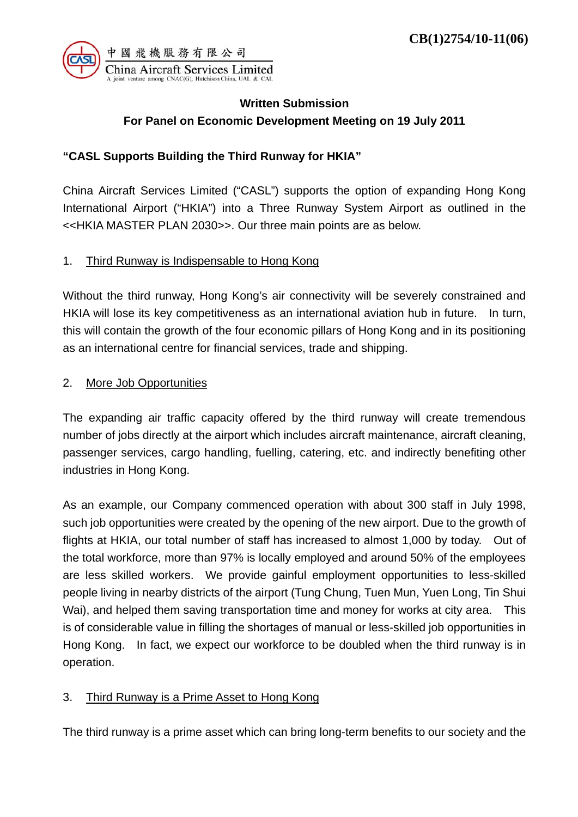

# **Written Submission For Panel on Economic Development Meeting on 19 July 2011**

## **"CASL Supports Building the Third Runway for HKIA"**

China Aircraft Services Limited ("CASL") supports the option of expanding Hong Kong International Airport ("HKIA") into a Three Runway System Airport as outlined in the <<HKIA MASTER PLAN 2030>>. Our three main points are as below.

### 1. Third Runway is Indispensable to Hong Kong

Without the third runway, Hong Kong's air connectivity will be severely constrained and HKIA will lose its key competitiveness as an international aviation hub in future. In turn, this will contain the growth of the four economic pillars of Hong Kong and in its positioning as an international centre for financial services, trade and shipping.

### 2. More Job Opportunities

The expanding air traffic capacity offered by the third runway will create tremendous number of jobs directly at the airport which includes aircraft maintenance, aircraft cleaning, passenger services, cargo handling, fuelling, catering, etc. and indirectly benefiting other industries in Hong Kong.

As an example, our Company commenced operation with about 300 staff in July 1998, such job opportunities were created by the opening of the new airport. Due to the growth of flights at HKIA, our total number of staff has increased to almost 1,000 by today. Out of the total workforce, more than 97% is locally employed and around 50% of the employees are less skilled workers. We provide gainful employment opportunities to less-skilled people living in nearby districts of the airport (Tung Chung, Tuen Mun, Yuen Long, Tin Shui Wai), and helped them saving transportation time and money for works at city area. This is of considerable value in filling the shortages of manual or less-skilled job opportunities in Hong Kong. In fact, we expect our workforce to be doubled when the third runway is in operation.

## 3. Third Runway is a Prime Asset to Hong Kong

The third runway is a prime asset which can bring long-term benefits to our society and the